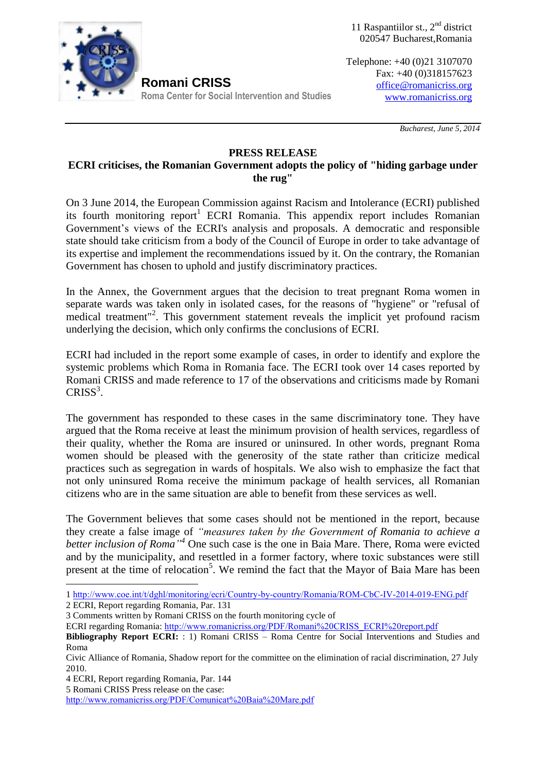

11 Raspantiilor st.,  $2<sup>nd</sup>$  district 020547 Bucharest,Romania

Telephone: +40 (0)21 3107070 Fax: +40 (0)318157623 [office@romanicriss.org](mailto:office@romanicriss.org) [www.romanicriss.org](http://www.romanicriss.org/)

 *Bucharest, June 5, 2014*

## **PRESS RELEASE ECRI criticises, the Romanian Government adopts the policy of "hiding garbage under the rug"**

On 3 June 2014, the European Commission against Racism and Intolerance (ECRI) published its fourth monitoring report<sup>1</sup> ECRI Romania. This appendix report includes Romanian Government's views of the ECRI's analysis and proposals. A democratic and responsible state should take criticism from a body of the Council of Europe in order to take advantage of its expertise and implement the recommendations issued by it. On the contrary, the Romanian Government has chosen to uphold and justify discriminatory practices.

In the Annex, the Government argues that the decision to treat pregnant Roma women in separate wards was taken only in isolated cases, for the reasons of "hygiene" or "refusal of medical treatment"<sup>2</sup>. This government statement reveals the implicit yet profound racism underlying the decision, which only confirms the conclusions of ECRI.

ECRI had included in the report some example of cases, in order to identify and explore the systemic problems which Roma in Romania face. The ECRI took over 14 cases reported by Romani CRISS and made reference to 17 of the observations and criticisms made by Romani  $CRISS<sup>3</sup>$ .

The government has responded to these cases in the same discriminatory tone. They have argued that the Roma receive at least the minimum provision of health services, regardless of their quality, whether the Roma are insured or uninsured. In other words, pregnant Roma women should be pleased with the generosity of the state rather than criticize medical practices such as segregation in wards of hospitals. We also wish to emphasize the fact that not only uninsured Roma receive the minimum package of health services, all Romanian citizens who are in the same situation are able to benefit from these services as well.

The Government believes that some cases should not be mentioned in the report, because they create a false image of *"measures taken by the Government of Romania to achieve a better inclusion of Roma" <sup>4</sup>* One such case is the one in Baia Mare. There, Roma were evicted and by the municipality, and resettled in a former factory, where toxic substances were still present at the time of relocation<sup>5</sup>. We remind the fact that the Mayor of Baia Mare has been

<u>.</u>

5 Romani CRISS Press release on the case:

<http://www.romanicriss.org/PDF/Comunicat%20Baia%20Mare.pdf>

<sup>1</sup> <http://www.coe.int/t/dghl/monitoring/ecri/Country-by-country/Romania/ROM-CbC-IV-2014-019-ENG.pdf> 2 ECRI, Report regarding Romania, Par. 131

<sup>3</sup> Comments written by Romani CRISS on the fourth monitoring cycle of

ECRI regarding Romania: [http://www.romanicriss.org/PDF/Romani%20CRISS\\_ECRI%20report.pdf](http://www.romanicriss.org/PDF/Romani%20CRISS_ECRI%20report.pdf)

**Bibliography Report ECRI:** : 1) Romani CRISS – Roma Centre for Social Interventions and Studies and Roma

Civic Alliance of Romania, Shadow report for the committee on the elimination of racial discrimination, 27 July 2010.

<sup>4</sup> ECRI, Report regarding Romania, Par. 144